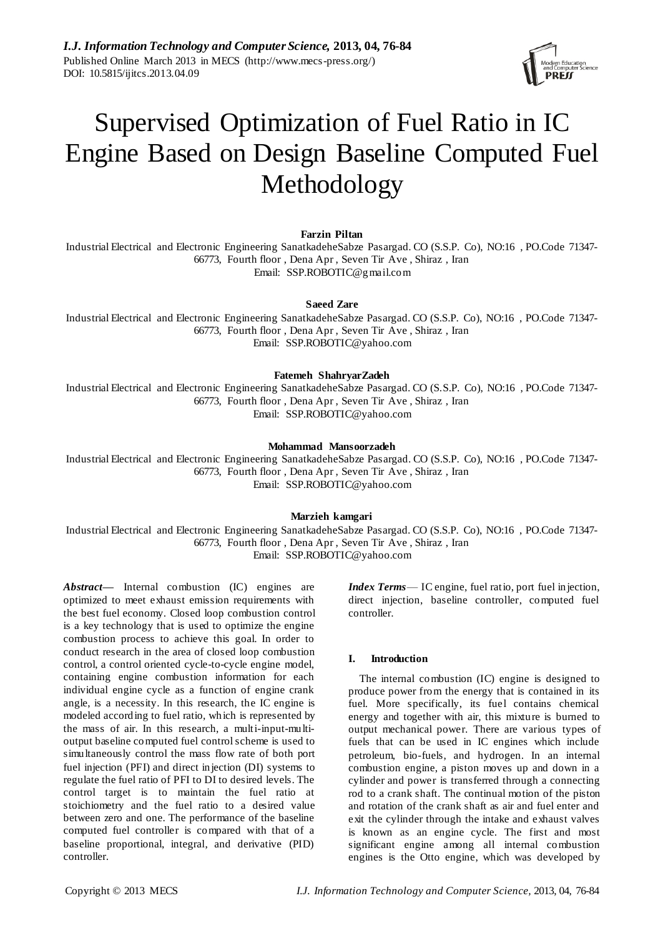

# Supervised Optimization of Fuel Ratio in IC Engine Based on Design Baseline Computed Fuel Methodology

**Farzin Piltan**

Industrial Electrical and Electronic Engineering SanatkadeheSabze Pasargad. CO (S.S.P. Co), NO:16 , PO.Code 71347- 66773, Fourth floor , Dena Apr , Seven Tir Ave , Shiraz , Iran Email: SSP.ROBOTIC@gmail.com

**Saeed Zare**

Industrial Electrical and Electronic Engineering SanatkadeheSabze Pasargad. CO (S.S.P. Co), NO:16 , PO.Code 71347- 66773, Fourth floor , Dena Apr , Seven Tir Ave , Shiraz , Iran Email: [SSP.ROBOTIC@yahoo.com](mailto:SSP.ROBOTIC@yahoo.com)

**Fatemeh ShahryarZadeh**

Industrial Electrical and Electronic Engineering SanatkadeheSabze Pasargad. CO (S.S.P. Co), NO:16 , PO.Code 71347- 66773, Fourth floor , Dena Apr , Seven Tir Ave , Shiraz , Iran Email: [SSP.ROBOTIC@yahoo.com](mailto:SSP.ROBOTIC@yahoo.com)

# **Mohammad Mansoorzadeh**

Industrial Electrical and Electronic Engineering SanatkadeheSabze Pasargad. CO (S.S.P. Co), NO:16 , PO.Code 71347- 66773, Fourth floor , Dena Apr , Seven Tir Ave , Shiraz , Iran Email: [SSP.ROBOTIC@yahoo.com](mailto:SSP.ROBOTIC@yahoo.com)

**Marzieh kamgari**

Industrial Electrical and Electronic Engineering SanatkadeheSabze Pasargad. CO (S.S.P. Co), NO:16 , PO.Code 71347- 66773, Fourth floor , Dena Apr , Seven Tir Ave , Shiraz , Iran Email: SSP.ROBOTIC@yahoo.com

*Abstract—* Internal combustion (IC) engines are optimized to meet exhaust emission requirements with the best fuel economy. Closed loop combustion control is a key technology that is used to optimize the engine combustion process to achieve this goal. In order to conduct research in the area of closed loop combustion control, a control oriented cycle-to-cycle engine model, containing engine combustion information for each individual engine cycle as a function of engine crank angle, is a necessity. In this research, the IC engine is modeled according to fuel ratio, which is represented by the mass of air. In this research, a multi-input-multioutput baseline computed fuel control scheme is used to simultaneously control the mass flow rate of both port fuel injection (PFI) and direct injection (DI) systems to regulate the fuel ratio of PFI to DI to desired levels. The control target is to maintain the fuel ratio at stoichiometry and the fuel ratio to a desired value between zero and one. The performance of the baseline computed fuel controller is compared with that of a baseline proportional, integral, and derivative (PID) controller.

*Index Terms*— IC engine, fuel ratio, port fuel injection, direct injection, baseline controller, computed fuel controller.

# **I. Introduction**

The internal combustion (IC) engine is designed to produce power from the energy that is contained in its fuel. More specifically, its fuel contains chemical energy and together with air, this mixture is burned to output mechanical power. There are various types of fuels that can be used in IC engines which include petroleum, bio-fuels, and hydrogen. In an internal combustion engine, a piston moves up and down in a cylinder and power is transferred through a connecting rod to a crank shaft. The continual motion of the piston and rotation of the crank shaft as air and fuel enter and exit the cylinder through the intake and exhaust valves is known as an engine cycle. The first and most significant engine among all internal combustion engines is the Otto engine, which was developed by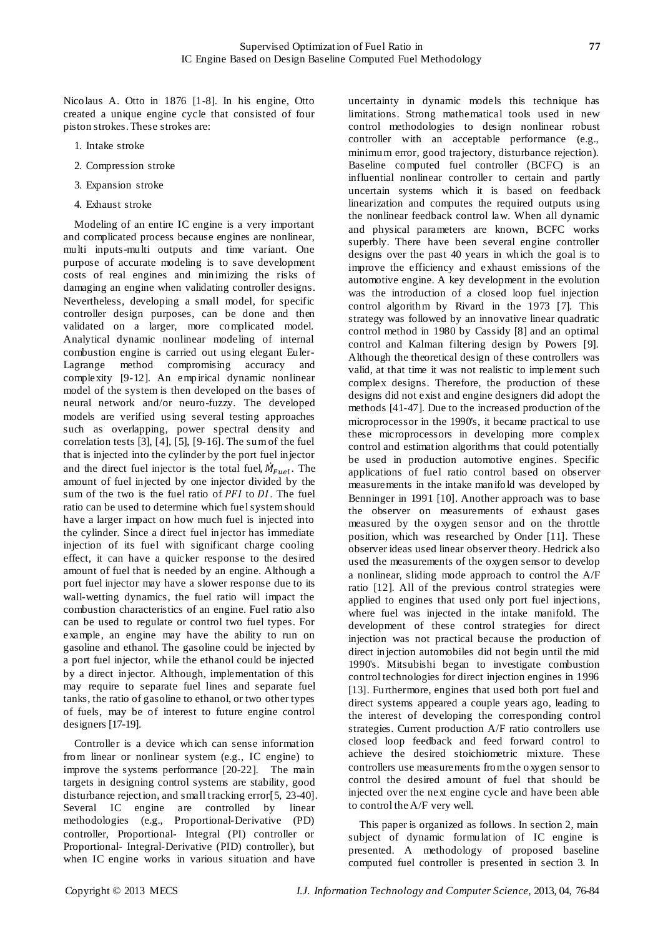Nicolaus A. Otto in 1876 [1-8]. In his engine, Otto created a unique engine cycle that consisted of four piston strokes. These strokes are:

- 1. Intake stroke
- 2. Compression stroke
- 3. Expansion stroke
- 4. Exhaust stroke

Modeling of an entire IC engine is a very important and complicated process because engines are nonlinear, multi inputs-multi outputs and time variant. One purpose of accurate modeling is to save development costs of real engines and minimizing the risks of damaging an engine when validating controller designs. Nevertheless, developing a small model, for specific controller design purposes, can be done and then validated on a larger, more complicated model. Analytical dynamic nonlinear modeling of internal combustion engine is carried out using elegant Euler-Lagrange method compromising accuracy and complexity [9-12]. An empirical dynamic nonlinear model of the system is then developed on the bases of neural network and/or neuro-fuzzy. The developed models are verified using several testing approaches such as overlapping, power spectral density and correlation tests [3], [4], [5], [9-16]. The sum of the fuel that is injected into the cylinder by the port fuel injector and the direct fuel injector is the total fuel,  $\dot{M}_{Fuel}$ . The amount of fuel injected by one injector divided by the sum of the two is the fuel ratio of  $PFI$  to  $DI$ . The fuel ratio can be used to determine which fuel system should have a larger impact on how much fuel is injected into the cylinder. Since a direct fuel injector has immediate injection of its fuel with significant charge cooling effect, it can have a quicker response to the desired amount of fuel that is needed by an engine. Although a port fuel injector may have a slower response due to its wall-wetting dynamics, the fuel ratio will impact the combustion characteristics of an engine. Fuel ratio also can be used to regulate or control two fuel types. For example, an engine may have the ability to run on gasoline and ethanol. The gasoline could be injected by a port fuel injector, while the ethanol could be injected by a direct injector. Although, implementation of this may require to separate fuel lines and separate fuel tanks, the ratio of gasoline to ethanol, or two other types of fuels, may be of interest to future engine control designers [17-19].

Controller is a device which can sense information from linear or nonlinear system (e.g., IC engine) to improve the systems performance [20-22]. The main targets in designing control systems are stability, good disturbance rejection, and small tracking error[5, 23-40]. Several IC engine are controlled by linear methodologies (e.g., Proportional-Derivative (PD) controller, Proportional- Integral (PI) controller or Proportional- Integral-Derivative (PID) controller), but when IC engine works in various situation and have

uncertainty in dynamic models this technique has limitations. Strong mathematical tools used in new control methodologies to design nonlinear robust controller with an acceptable performance (e.g., minimum error, good trajectory, disturbance rejection). Baseline computed fuel controller (BCFC) is an influential nonlinear controller to certain and partly uncertain systems which it is based on feedback linearization and computes the required outputs using the nonlinear feedback control law. When all dynamic and physical parameters are known, BCFC works superbly. There have been several engine controller designs over the past 40 years in which the goal is to improve the efficiency and exhaust emissions of the automotive engine. A key development in the evolution was the introduction of a closed loop fuel injection control algorithm by Rivard in the 1973 [7]. This strategy was followed by an innovative linear quadratic control method in 1980 by Cassidy [8] and an optimal control and Kalman filtering design by Powers [9]. Although the theoretical design of these controllers was valid, at that time it was not realistic to implement such complex designs. Therefore, the production of these designs did not exist and engine designers did adopt the methods [41-47]. Due to the increased production of the microprocessor in the 1990's, it became practical to use these microprocessors in developing more complex control and estimation algorithms that could potentially be used in production automotive engines. Specific applications of fuel ratio control based on observer measurements in the intake manifold was developed by Benninger in 1991 [10]. Another approach was to base the observer on measurements of exhaust gases measured by the oxygen sensor and on the throttle position, which was researched by Onder [11]. These observer ideas used linear observer theory. Hedrick also used the measurements of the oxygen sensor to develop a nonlinear, sliding mode approach to control the A/F ratio [12]. All of the previous control strategies were applied to engines that used only port fuel injections, where fuel was injected in the intake manifold. The development of these control strategies for direct injection was not practical because the production of direct injection automobiles did not begin until the mid 1990's. Mitsubishi began to investigate combustion control technologies for direct injection engines in 1996 [13]. Furthermore, engines that used both port fuel and direct systems appeared a couple years ago, leading to the interest of developing the corresponding control strategies. Current production A/F ratio controllers use closed loop feedback and feed forward control to achieve the desired stoichiometric mixture. These controllers use measurements from the oxygen sensor to control the desired amount of fuel that should be injected over the next engine cycle and have been able to control the A/F very well.

This paper is organized as follows. In section 2, main subject of dynamic formulation of IC engine is presented. A methodology of proposed baseline computed fuel controller is presented in section 3. In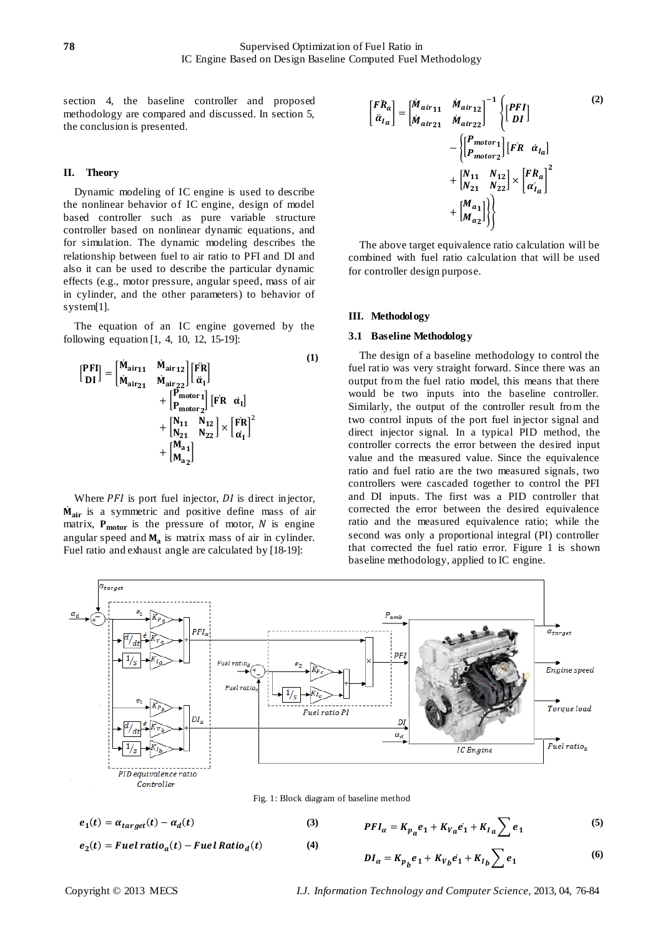**(1)**

section 4, the baseline controller and proposed methodology are compared and discussed. In section 5, the conclusion is presented.

# **II. Theory**

Dynamic modeling of IC engine is used to describe the nonlinear behavior of IC engine, design of model based controller such as pure variable structure controller based on nonlinear dynamic equations, and for simulation. The dynamic modeling describes the relationship between fuel to air ratio to PFI and DI and also it can be used to describe the particular dynamic effects (e.g., motor pressure, angular speed, mass of air in cylinder, and the other parameters) to behavior of system[1].

The equation of an IC engine governed by the following equation [1, 4, 10, 12, 15-19]:

$$
\begin{aligned}\n\begin{bmatrix}\n\mathbf{PFI} \\
\mathbf{D}\mathbf{I}\n\end{bmatrix} &= \n\begin{bmatrix}\n\dot{M}_{air11} & \dot{M}_{air12} \\
\dot{M}_{air21} & \dot{M}_{air22}\n\end{bmatrix}\n\begin{bmatrix}\n\dot{F}R \\
\ddot{\alpha}_{I}\n\end{bmatrix} \\
&+ \begin{bmatrix}\nP_{motor1} \\
P_{motor2}\n\end{bmatrix}\n\begin{bmatrix}\nFR & \dot{\alpha}_{I}\n\end{bmatrix} \\
&+ \begin{bmatrix}\nN_{11} & N_{12} \\
N_{21} & N_{22}\n\end{bmatrix} \times \begin{bmatrix}\nFR \\
\dot{\alpha}_{I}\n\end{bmatrix}^{2} \\
&+ \begin{bmatrix}\nM_{a1} \\
M_{a2}\n\end{bmatrix}\n\end{aligned}
$$
\n(1)

Where  $PFI$  is port fuel injector,  $DI$  is direct injector, M<sub>air</sub> is a symmetric and positive define mass of air matrix,  $P_{motor}$  is the pressure of motor,  $N$  is engine angular speed and  $M_a$  is matrix mass of air in cylinder. Fuel ratio and exhaust angle are calculated by [18-19]:

$$
\begin{aligned}\n\begin{bmatrix}\nF\ddot{R}_a \\
\ddot{\alpha}_{Ia}\n\end{bmatrix} &= \begin{bmatrix}\nM_{air11} & M_{air12} \\
M_{air21} & M_{air22}\n\end{bmatrix}^{-1} \begin{Bmatrix}\nPFI \\
DI\n\end{Bmatrix} \\
&- \begin{Bmatrix}\nP_{motor1} \\
P_{motor2}\n\end{Bmatrix} \begin{bmatrix}\nFR & \dot{\alpha}_{Ia}\n\end{bmatrix} \\
&+ \begin{bmatrix}\nN_{11} & N_{12} \\
N_{21} & N_{22}\n\end{bmatrix} \times \begin{bmatrix}\nFR_a \\
\dot{\alpha}_{Ia}\n\end{bmatrix}^2 \\
&+ \begin{bmatrix}\nM_{a1} \\
M_{a2}\n\end{bmatrix}\n\end{aligned}
$$
\n(2)

The above target equivalence ratio calculation will be combined with fuel ratio calculation that will be used for controller design purpose.

#### **III. Methodology**

#### **3.1 Baseline Methodology**

The design of a baseline methodology to control the fuel ratio was very straight forward. Since there was an output from the fuel ratio model, this means that there would be two inputs into the baseline controller. Similarly, the output of the controller result from the two control inputs of the port fuel injector signal and direct injector signal. In a typical PID method, the controller corrects the error between the desired input value and the measured value. Since the equivalence ratio and fuel ratio are the two measured signals, two controllers were cascaded together to control the PFI and DI inputs. The first was a PID controller that corrected the error between the desired equivalence ratio and the measured equivalence ratio; while the second was only a proportional integral (PI) controller that corrected the fuel ratio error. Figure 1 is shown baseline methodology, applied to IC engine.



 $(4)$ 

$$
e_1(t) = \alpha_{target}(t) - \alpha_d(t) \tag{3}
$$

$$
e_2(t) = \text{Fuel ratio}_a(t) - \text{Fuel Ratio}_d(t)
$$

$$
PFI_{\alpha} = K_{p_{\alpha}}e_1 + K_{V_{\alpha}}e_1 + K_{I_{\alpha}}\sum e_1
$$
 (5)

$$
DI_{\alpha} = K_{p_b}e_1 + K_{V_b}e_1 + K_{I_b} \sum e_1 \eqno{(6)}
$$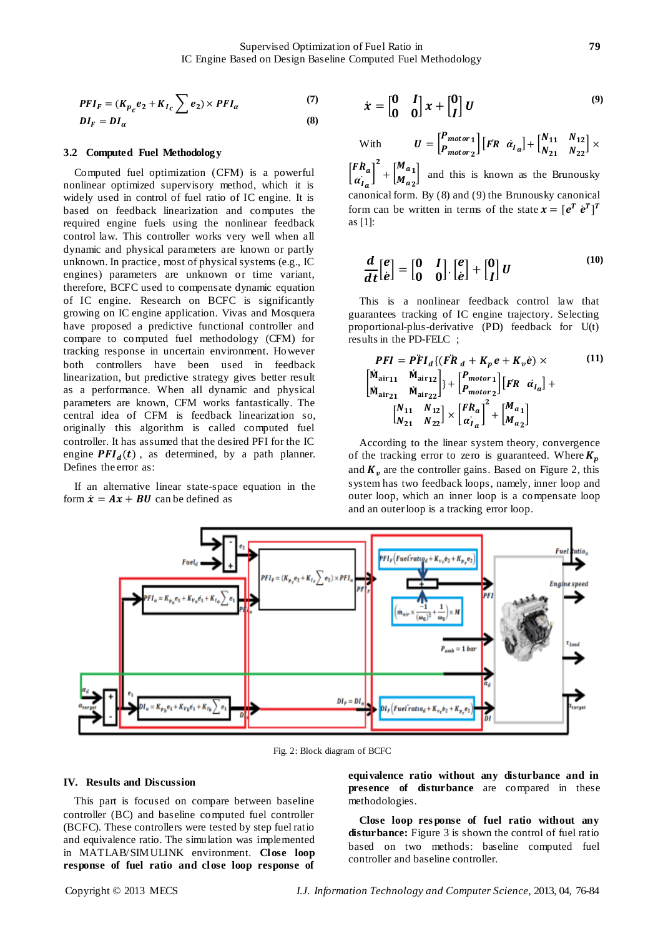$$
PFIF = (Kpce2 + KIc \sum e2) \times PFI\alpha
$$
 (7)  

$$
DIF = DI\alpha
$$
 (8)

**3.2 Computed Fuel Methodology**

Computed fuel optimization (CFM) is a powerful nonlinear optimized supervisory method, which it is widely used in control of fuel ratio of IC engine. It is based on feedback linearization and computes the required engine fuels using the nonlinear feedback control law. This controller works very well when all dynamic and physical parameters are known or partly unknown. In practice, most of physical systems (e.g., IC engines) parameters are unknown or time variant, therefore, BCFC used to compensate dynamic equation of IC engine. Research on BCFC is significantly growing on IC engine application. Vivas and Mosquera have proposed a predictive functional controller and compare to computed fuel methodology (CFM) for tracking response in uncertain environment. However both controllers have been used in feedback linearization, but predictive strategy gives better result as a performance. When all dynamic and physical parameters are known, CFM works fantastically. The central idea of CFM is feedback linearization so, originally this algorithm is called computed fuel controller. It has assumed that the desired PFI for the IC engine  $PFI_d(t)$ , as determined, by a path planner. Defines the error as:

If an alternative linear state-space equation in the form  $\dot{x} = Ax + BU$  can be defined as

$$
\dot{x} = \begin{bmatrix} 0 & I \\ 0 & 0 \end{bmatrix} x + \begin{bmatrix} 0 \\ I \end{bmatrix} U \tag{9}
$$

With 
$$
U = \begin{bmatrix} P_{motor1} \\ P_{motor2} \end{bmatrix} \begin{bmatrix} FR & \dot{\alpha}_{Ia} \end{bmatrix} + \begin{bmatrix} N_{11} & N_{12} \\ N_{21} & N_{22} \end{bmatrix} \times
$$

 $\left[\begin{matrix} F \\ B \end{matrix}\right]$ ł  $\begin{bmatrix} \alpha_1 \\ \alpha_2 \end{bmatrix}$ ŗ  $\overline{\mathbf{c}}$  $+$  $\begin{bmatrix} M \\ M \end{bmatrix}$  $\begin{bmatrix} a_1 \\ m_{\alpha_2} \end{bmatrix}$  and this is known as the Brunousky canonical form. By (8) and (9) the Brunousky canonical form can be written in terms of the state  $x = [e^T e^T]^T$ as [1]:

$$
\frac{d}{dt}\begin{bmatrix} e \\ e \end{bmatrix} = \begin{bmatrix} 0 & I \\ 0 & 0 \end{bmatrix} \cdot \begin{bmatrix} e \\ e \end{bmatrix} + \begin{bmatrix} 0 \\ I \end{bmatrix} U \tag{10}
$$

This is a nonlinear feedback control law that guarantees tracking of IC engine trajectory. Selecting proportional-plus-derivative (PD) feedback for U(t) results in the PD-FELC ;

$$
PFI = PFI_{d}\{(FR_{d} + K_{p}e + K_{v}e) \times \t\t(11)
$$
  
\n
$$
\begin{bmatrix} M_{\text{air 11}} & M_{\text{air 12}} \\ M_{\text{air 21}} & M_{\text{air 22}} \end{bmatrix} \} + \begin{bmatrix} P_{motor1} \\ P_{motor2} \end{bmatrix} [FR \space \alpha_{I_{a}}] + \begin{bmatrix} N_{11} & N_{12} \\ N_{21} & N_{22} \end{bmatrix} \times \begin{bmatrix} FR_{a} \\ \alpha_{I_{a}} \end{bmatrix}^{2} + \begin{bmatrix} M_{a1} \\ M_{a2} \end{bmatrix}
$$

According to the linear system theory, convergence of the tracking error to zero is guaranteed. Where  $K_p$ and  $K_v$  are the controller gains. Based on Figure 2, this system has two feedback loops, namely, inner loop and outer loop, which an inner loop is a compensate loop and an outer loop is a tracking error loop.



Fig. 2: Block diagram of BCFC

## **IV. Results and Discussion**

This part is focused on compare between baseline controller (BC) and baseline computed fuel controller (BCFC). These controllers were tested by step fuel ratio and equivalence ratio. The simulation was implemented in MATLAB/SIMULINK environment. **Close loop response of fuel ratio and close loop response of** 

**equivalence ratio without any disturbance and in presence of disturbance** are compared in these methodologies.

**Close loop res ponse of fuel ratio without any disturbance:** Figure 3 is shown the control of fuel ratio based on two methods: baseline computed fuel controller and baseline controller.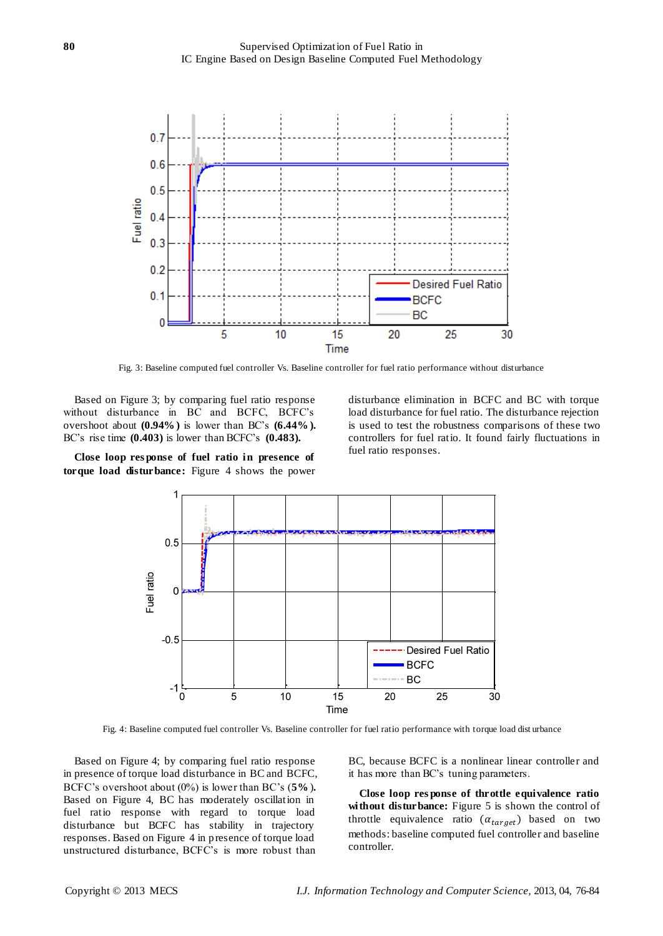

Fig. 3: Baseline computed fuel controller Vs. Baseline controller for fuel ratio performance without disturbance

Based on Figure 3; by comparing fuel ratio response without disturbance in BC and BCFC, BCFC's overshoot about **(0.94% )** is lower than BC's **(6.44% ).** BC's rise time **(0.403)** is lower than BCFC's **(0.483).**

**Close loop res ponse of fuel ratio in presence of torque load disturbance:** Figure 4 shows the power

disturbance elimination in BCFC and BC with torque load disturbance for fuel ratio. The disturbance rejection is used to test the robustness comparisons of these two controllers for fuel ratio. It found fairly fluctuations in fuel ratio responses.



Fig. 4: Baseline computed fuel controller Vs. Baseline controller for fuel ratio performance with torque load dist urbance

Based on Figure 4; by comparing fuel ratio response in presence of torque load disturbance in BC and BCFC, BCFC's overshoot about (0%) is lower than BC's (**5%**)**.** Based on Figure 4, BC has moderately oscillation in fuel ratio response with regard to torque load disturbance but BCFC has stability in trajectory responses. Based on Figure 4 in presence of torque load unstructured disturbance, BCFC's is more robust than

BC, because BCFC is a nonlinear linear controller and it has more than BC's tuning parameters.

**Close loop res ponse of throttle equivalence ratio**  without disturbance: Figure 5 is shown the control of throttle equivalence ratio  $(\alpha_{target})$  based on two methods: baseline computed fuel controller and baseline controller.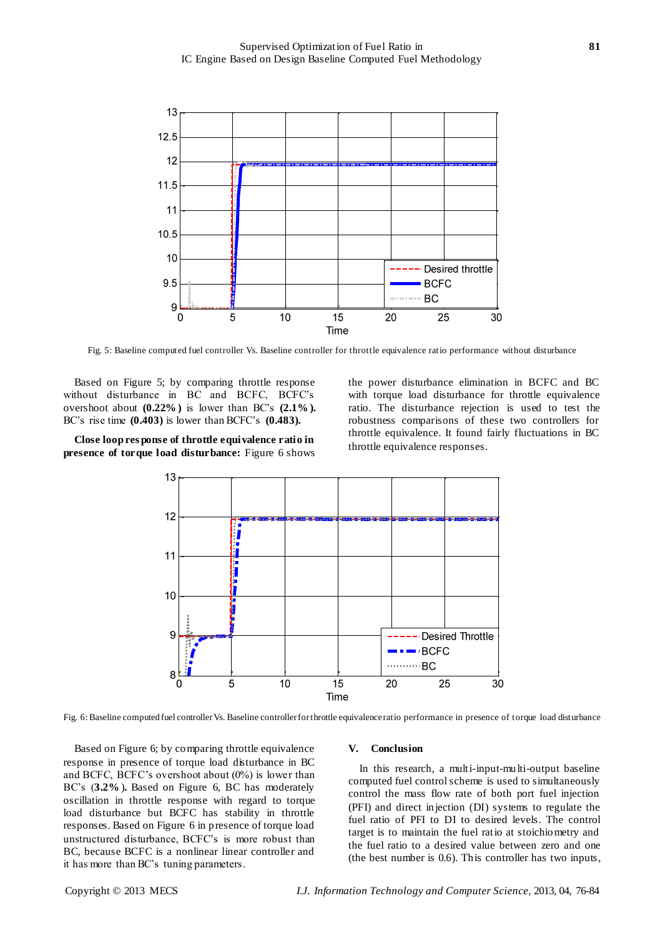

Fig. 5: Baseline computed fuel controller Vs. Baseline controller for throttle equivalence ratio performance without disturbance

Based on Figure 5; by comparing throttle response without disturbance in BC and BCFC, BCFC's overshoot about **(0.22% )** is lower than BC's **(2.1% ).** BC's rise time **(0.403)** is lower than BCFC's **(0.483).**

**Close loop res ponse of throttle equivalence ratio in presence of torque load disturbance:** Figure 6 shows the power disturbance elimination in BCFC and BC with torque load disturbance for throttle equivalence ratio. The disturbance rejection is used to test the robustness comparisons of these two controllers for throttle equivalence. It found fairly fluctuations in BC throttle equivalence responses.



Fig. 6: Baseline computed fuel controller Vs. Baseline controller for throttle equivalence ratio performance in presence of torque load disturbance

Based on Figure 6; by comparing throttle equivalence response in presence of torque load disturbance in BC and BCFC, BCFC's overshoot about (0%) is lower than BC's (**3.2%**)**.** Based on Figure 6, BC has moderately oscillation in throttle response with regard to torque load disturbance but BCFC has stability in throttle responses. Based on Figure 6 in presence of torque load unstructured disturbance, BCFC's is more robust than BC, because BCFC is a nonlinear linear controller and it has more than BC's tuning parameters.

#### **V. Conclusion**

In this research, a multi-input-multi-output baseline computed fuel control scheme is used to simultaneously control the mass flow rate of both port fuel injection (PFI) and direct injection (DI) systems to regulate the fuel ratio of PFI to DI to desired levels. The control target is to maintain the fuel ratio at stoichiometry and the fuel ratio to a desired value between zero and one (the best number is 0.6). This controller has two inputs,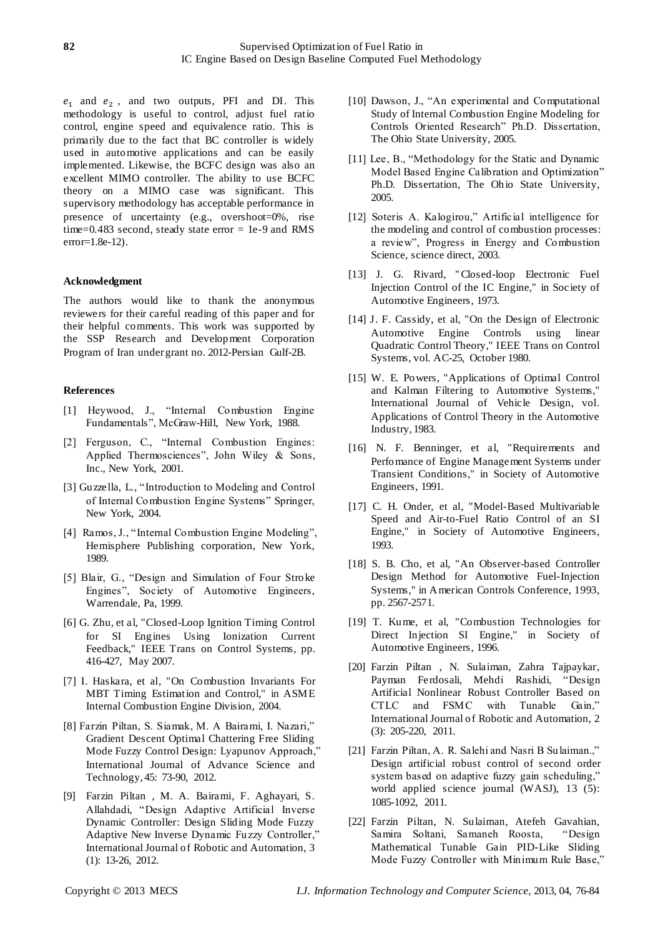$e_1$  and  $e_2$ , and two outputs, PFI and DI. This methodology is useful to control, adjust fuel ratio control, engine speed and equivalence ratio. This is primarily due to the fact that BC controller is widely used in automotive applications and can be easily implemented. Likewise, the BCFC design was also an excellent MIMO controller. The ability to use BCFC theory on a MIMO case was significant. This supervisory methodology has acceptable performance in presence of uncertainty (e.g., overshoot=0%, rise time=0.483 second, steady state error  $= 1e-9$  and RMS error=1.8e-12).

# **Acknowledgment**

The authors would like to thank the anonymous reviewers for their careful reading of this paper and for their helpful comments. This work was supported by the SSP Research and Development Corporation Program of Iran under grant no. 2012-Persian Gulf-2B.

## **References**

- [1] Heywood, J., "Internal Combustion Engine Fundamentals", McGraw-Hill, New York, 1988.
- [2] Ferguson, C., "Internal Combustion Engines: Applied Thermosciences", John Wiley & Sons, Inc., New York, 2001.
- [3] Guzzella, L., "Introduction to Modeling and Control of Internal Combustion Engine Systems" Springer, New York, 2004.
- [4] Ramos, J., "Internal Combustion Engine Modeling", Hemisphere Publishing corporation, New York, 1989.
- [5] Blair, G., "Design and Simulation of Four Stroke Engines", Society of Automotive Engineers, Warrendale, Pa, 1999.
- [6] G. Zhu, et al, "Closed-Loop Ignition Timing Control for SI Engines Using Ionization Current Feedback," IEEE Trans on Control Systems, pp. 416-427, May 2007.
- [7] I. Haskara, et al, "On Combustion Invariants For MBT Timing Estimation and Control," in ASME Internal Combustion Engine Division, 2004.
- [8] Farzin Piltan, S. Siamak, M. A Bairami, I. Nazari," Gradient Descent Optimal Chattering Free Sliding Mode Fuzzy Control Design: Lyapunov Approach," International Journal of Advance Science and Technology, 45: 73-90, 2012.
- [9] Farzin Piltan , M. A. Bairami, F. Aghayari, S. Allahdadi, "Design Adaptive Artificial Inverse Dynamic Controller: Design Sliding Mode Fuzzy Adaptive New Inverse Dynamic Fuzzy Controller," International Journal of Robotic and Automation, 3 (1): 13-26, 2012.
- [10] Dawson, J., "An experimental and Computational Study of Internal Combustion Engine Modeling for Controls Oriented Research" Ph.D. Dissertation, The Ohio State University, 2005.
- [11] Lee, B., "Methodology for the Static and Dynamic Model Based Engine Calibration and Optimization" Ph.D. Dissertation, The Ohio State University, 2005.
- [12] Soteris A. Kalogirou," Artificial intelligence for the modeling and control of combustion processes: a review", Progress in Energy and Combustion Science, science direct, 2003.
- [13] J. G. Rivard, "Closed-loop Electronic Fuel Injection Control of the IC Engine," in Society of Automotive Engineers, 1973.
- [14] J. F. Cassidy, et al, "On the Design of Electronic Automotive Engine Controls using linear Quadratic Control Theory," IEEE Trans on Control Systems, vol. AC-25, October 1980.
- [15] W. E. Powers, "Applications of Optimal Control and Kalman Filtering to Automotive Systems," International Journal of Vehicle Design, vol. Applications of Control Theory in the Automotive Industry, 1983.
- [16] N. F. Benninger, et al, "Requirements and Perfomance of Engine Management Systems under Transient Conditions," in Society of Automotive Engineers, 1991.
- [17] C. H. Onder, et al, "Model-Based Multivariable Speed and Air-to-Fuel Ratio Control of an SI Engine," in Society of Automotive Engineers, 1993.
- [18] S. B. Cho, et al, "An Observer-based Controller Design Method for Automotive Fuel-Injection Systems," in American Controls Conference, 1993, pp. 2567-2571.
- [19] T. Kume, et al, "Combustion Technologies for Direct Injection SI Engine," in Society of Automotive Engineers, 1996.
- [20] Farzin Piltan , N. Sulaiman, Zahra Tajpaykar, Payman Ferdosali, Mehdi Rashidi, "Design Artificial Nonlinear Robust Controller Based on CTLC and FSMC with Tunable Gain," International Journal of Robotic and Automation, 2 (3): 205-220, 2011.
- [21] Farzin Piltan, A. R. Salehi and Nasri B Sulaiman.," Design artificial robust control of second order system based on adaptive fuzzy gain scheduling," world applied science journal (WASJ), 13 (5): 1085-1092, 2011.
- [22] Farzin Piltan, N. Sulaiman, Atefeh Gavahian, Samira Soltani, Samaneh Roosta, "Design Mathematical Tunable Gain PID-Like Sliding Mode Fuzzy Controller with Minimum Rule Base,"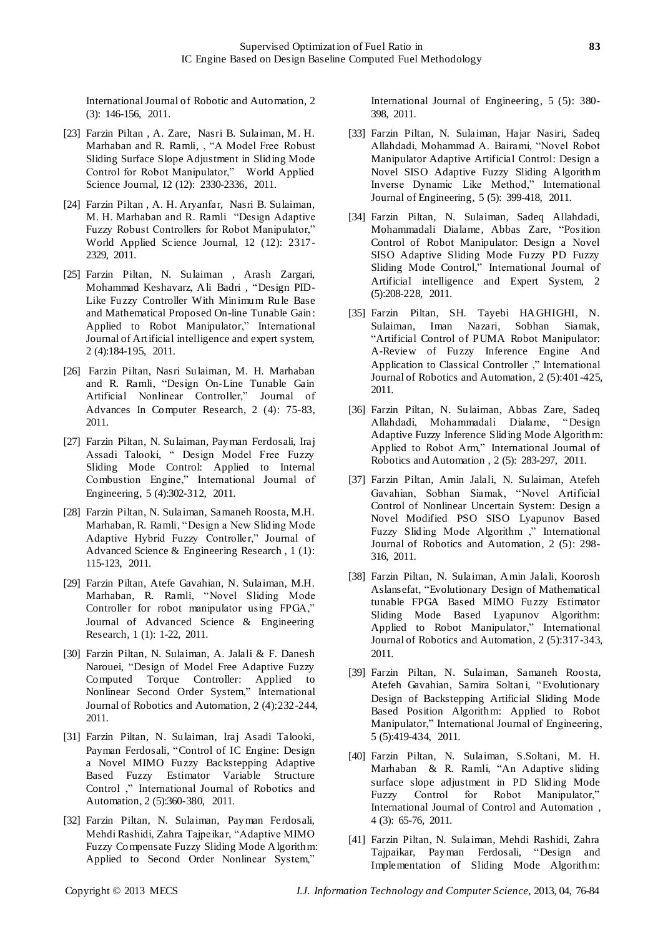International Journal of Robotic and Automation, 2 (3): 146-156, 2011.

- [23] Farzin Piltan , A. Zare, Nasri B. Sulaiman, M. H. Marhaban and R. Ramli, , "A Model Free Robust Sliding Surface Slope Adjustment in Sliding Mode Control for Robot Manipulator," World Applied Science Journal, 12 (12): 2330-2336, 2011.
- [24] Farzin Piltan , A. H. Aryanfar, Nasri B. Sulaiman, M. H. Marhaban and R. Ramli "Design Adaptive Fuzzy Robust Controllers for Robot Manipulator," World Applied Science Journal, 12 (12): 2317- 2329, 2011.
- [25] Farzin Piltan, N. Sulaiman , Arash Zargari, Mohammad Keshavarz, Ali Badri , "Design PID-Like Fuzzy Controller With Minimum Rule Base and Mathematical Proposed On-line Tunable Gain: Applied to Robot Manipulator," International Journal of Artificial intelligence and expert system, 2 (4):184-195, 2011.
- [26] Farzin Piltan, Nasri Sulaiman, M. H. Marhaban and R. Ramli, "Design On-Line Tunable Gain Artificial Nonlinear Controller," Journal of Advances In Computer Research, 2 (4): 75-83, 2011.
- [27] Farzin Piltan, N. Sulaiman, Payman Ferdosali, Iraj Assadi Talooki, " Design Model Free Fuzzy Sliding Mode Control: Applied to Internal Combustion Engine," International Journal of Engineering, 5 (4):302-312, 2011.
- [28] Farzin Piltan, N. Sulaiman, Samaneh Roosta, M.H. Marhaban, R. Ramli, "Design a New Sliding Mode Adaptive Hybrid Fuzzy Controller," Journal of Advanced Science & Engineering Research , 1 (1): 115-123, 2011.
- [29] Farzin Piltan, Atefe Gavahian, N. Sulaiman, M.H. Marhaban, R. Ramli, "Novel Sliding Mode Controller for robot manipulator using FPGA," Journal of Advanced Science & Engineering Research, 1 (1): 1-22, 2011.
- [30] Farzin Piltan, N. Sulaiman, A. Jalali & F. Danesh Narouei, "Design of Model Free Adaptive Fuzzy Computed Torque Controller: Applied to Nonlinear Second Order System," International Journal of Robotics and Automation, 2 (4):232-244, 2011.
- [31] Farzin Piltan, N. Sulaiman, Iraj Asadi Talooki, Payman Ferdosali, "Control of IC Engine: Design a Novel MIMO Fuzzy Backstepping Adaptive Based Fuzzy Estimator Variable Structure Control ," International Journal of Robotics and Automation, 2 (5):360-380, 2011.
- [32] Farzin Piltan, N. Sulaiman, Payman Ferdosali, Mehdi Rashidi, Zahra Tajpeikar, "Adaptive MIMO Fuzzy Compensate Fuzzy Sliding Mode Algorithm: Applied to Second Order Nonlinear System,"

International Journal of Engineering, 5 (5): 380- 398, 2011.

- [33] Farzin Piltan, N. Sulaiman, Hajar Nasiri, Sadeq Allahdadi, Mohammad A. Bairami, "Novel Robot Manipulator Adaptive Artificial Control: Design a Novel SISO Adaptive Fuzzy Sliding Algorithm Inverse Dynamic Like Method," International Journal of Engineering, 5 (5): 399-418, 2011.
- [34] Farzin Piltan, N. Sulaiman, Sadeq Allahdadi, Mohammadali Dialame, Abbas Zare, "Position Control of Robot Manipulator: Design a Novel SISO Adaptive Sliding Mode Fuzzy PD Fuzzy Sliding Mode Control," International Journal of Artificial intelligence and Expert System, 2 (5):208-228, 2011.
- [35] Farzin Piltan, SH. Tayebi HAGHIGHI, N. Sulaiman, Iman Nazari, Sobhan Siamak, "Artificial Control of PUMA Robot Manipulator: A-Review of Fuzzy Inference Engine And Application to Classical Controller ," International Journal of Robotics and Automation, 2 (5):401-425, 2011.
- [36] Farzin Piltan, N. Sulaiman, Abbas Zare, Sadeq Allahdadi, Mohammadali Dialame, "Design Adaptive Fuzzy Inference Sliding Mode Algorithm: Applied to Robot Arm," International Journal of Robotics and Automation , 2 (5): 283-297, 2011.
- [37] Farzin Piltan, Amin Jalali, N. Sulaiman, Atefeh Gavahian, Sobhan Siamak, "Novel Artificial Control of Nonlinear Uncertain System: Design a Novel Modified PSO SISO Lyapunov Based Fuzzy Sliding Mode Algorithm ," International Journal of Robotics and Automation, 2 (5): 298- 316, 2011.
- [38] Farzin Piltan, N. Sulaiman, Amin Jalali, Koorosh Aslansefat, "Evolutionary Design of Mathematical tunable FPGA Based MIMO Fuzzy Estimator Sliding Mode Based Lyapunov Algorithm: Applied to Robot Manipulator," International Journal of Robotics and Automation, 2 (5):317-343, 2011.
- [39] Farzin Piltan, N. Sulaiman, Samaneh Roosta, Atefeh Gavahian, Samira Soltani, "Evolutionary Design of Backstepping Artificial Sliding Mode Based Position Algorithm: Applied to Robot Manipulator," International Journal of Engineering, 5 (5):419-434, 2011.
- [40] Farzin Piltan, N. Sulaiman, S.Soltani, M. H. Marhaban & R. Ramli, "An Adaptive sliding surface slope adjustment in PD Sliding Mode Fuzzy Control for Robot Manipulator," International Journal of Control and Automation , 4 (3): 65-76, 2011.
- [41] Farzin Piltan, N. Sulaiman, Mehdi Rashidi, Zahra Tajpaikar, Payman Ferdosali, "Design and Implementation of Sliding Mode Algorithm: